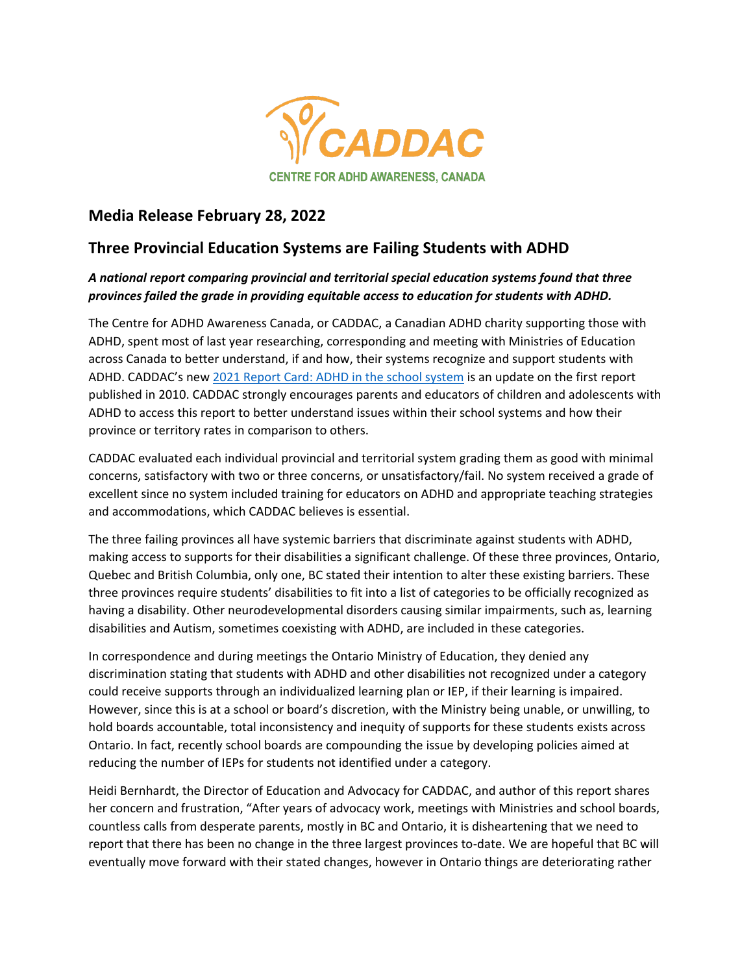

## **Media Release February 28, 2022**

## **Three Provincial Education Systems are Failing Students with ADHD**

## *A national report comparing provincial and territorial special education systems found that three provinces failed the grade in providing equitable access to education for students with ADHD.*

The Centre for ADHD Awareness Canada, or CADDAC, a Canadian ADHD charity supporting those with ADHD, spent most of last year researching, corresponding and meeting with Ministries of Education across Canada to better understand, if and how, their systems recognize and support students with ADHD. CADDAC's new 2021 Report Card: [ADHD in the school system](https://caddac.ca/wp-content/uploads/ADHDReportCardCompleteENGrev2021-final-1.pdf) is an update on the first report published in 2010. CADDAC strongly encourages parents and educators of children and adolescents with ADHD to access this report to better understand issues within their school systems and how their province or territory rates in comparison to others.

CADDAC evaluated each individual provincial and territorial system grading them as good with minimal concerns, satisfactory with two or three concerns, or unsatisfactory/fail. No system received a grade of excellent since no system included training for educators on ADHD and appropriate teaching strategies and accommodations, which CADDAC believes is essential.

The three failing provinces all have systemic barriers that discriminate against students with ADHD, making access to supports for their disabilities a significant challenge. Of these three provinces, Ontario, Quebec and British Columbia, only one, BC stated their intention to alter these existing barriers. These three provinces require students' disabilities to fit into a list of categories to be officially recognized as having a disability. Other neurodevelopmental disorders causing similar impairments, such as, learning disabilities and Autism, sometimes coexisting with ADHD, are included in these categories.

In correspondence and during meetings the Ontario Ministry of Education, they denied any discrimination stating that students with ADHD and other disabilities not recognized under a category could receive supports through an individualized learning plan or IEP, if their learning is impaired. However, since this is at a school or board's discretion, with the Ministry being unable, or unwilling, to hold boards accountable, total inconsistency and inequity of supports for these students exists across Ontario. In fact, recently school boards are compounding the issue by developing policies aimed at reducing the number of IEPs for students not identified under a category.

Heidi Bernhardt, the Director of Education and Advocacy for CADDAC, and author of this report shares her concern and frustration, "After years of advocacy work, meetings with Ministries and school boards, countless calls from desperate parents, mostly in BC and Ontario, it is disheartening that we need to report that there has been no change in the three largest provinces to-date. We are hopeful that BC will eventually move forward with their stated changes, however in Ontario things are deteriorating rather